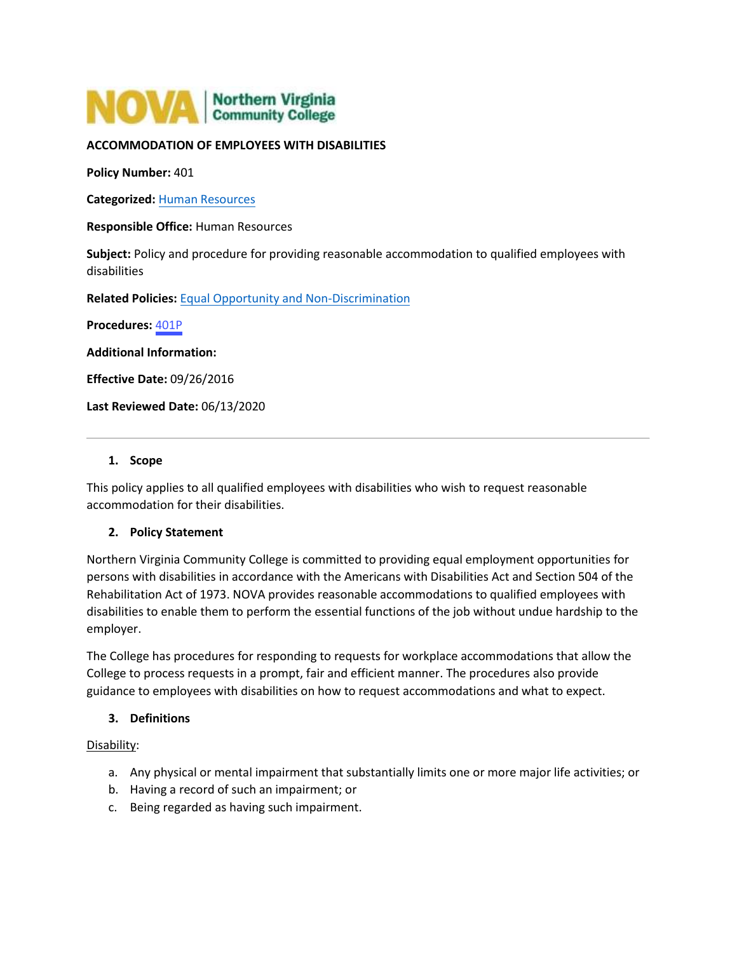

### **ACCOMMODATION OF EMPLOYEES WITH DISABILITIES**

**Policy Number:** 401

**Categorized:** [Human Resources](https://www.nvcc.edu/policies/Default.aspx?cat=Human%20Resources)

**Responsible Office:** Human Resources

**Subject:** Policy and procedure for providing reasonable accommodation to qualified employees with disabilities

**Related Policies:** [Equal Opportunity and Non-Discrimination](https://www.nvcc.edu/policies/policies.aspx?num=102)

**Procedures:** [401P](https://www.nvcc.edu/policies/_files/401P-Accommodation-of-Employees-with-Disabilities.pdf) 

**Additional Information:**

**Effective Date:** 09/26/2016

**Last Reviewed Date:** 06/13/2020

#### **1. Scope**

This policy applies to all qualified employees with disabilities who wish to request reasonable accommodation for their disabilities.

### **2. Policy Statement**

Northern Virginia Community College is committed to providing equal employment opportunities for persons with disabilities in accordance with the Americans with Disabilities Act and Section 504 of the Rehabilitation Act of 1973. NOVA provides reasonable accommodations to qualified employees with disabilities to enable them to perform the essential functions of the job without undue hardship to the employer.

The College has procedures for responding to requests for workplace accommodations that allow the College to process requests in a prompt, fair and efficient manner. The procedures also provide guidance to employees with disabilities on how to request accommodations and what to expect.

### **3. Definitions**

#### Disability:

- a. Any physical or mental impairment that substantially limits one or more major life activities; or
- b. Having a record of such an impairment; or
- c. Being regarded as having such impairment.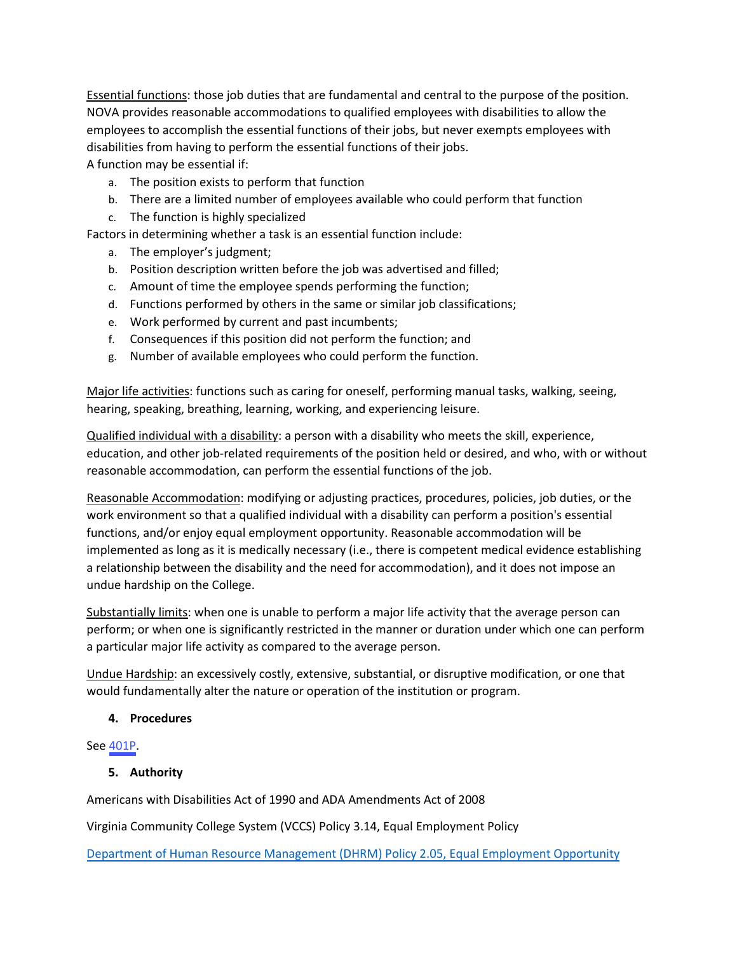Essential functions: those job duties that are fundamental and central to the purpose of the position. NOVA provides reasonable accommodations to qualified employees with disabilities to allow the employees to accomplish the essential functions of their jobs, but never exempts employees with disabilities from having to perform the essential functions of their jobs.

A function may be essential if:

- a. The position exists to perform that function
- b. There are a limited number of employees available who could perform that function
- c. The function is highly specialized
- Factors in determining whether a task is an essential function include:
	- a. The employer's judgment;
	- b. Position description written before the job was advertised and filled;
	- c. Amount of time the employee spends performing the function;
	- d. Functions performed by others in the same or similar job classifications;
	- e. Work performed by current and past incumbents;
	- f. Consequences if this position did not perform the function; and
	- g. Number of available employees who could perform the function.

Major life activities: functions such as caring for oneself, performing manual tasks, walking, seeing, hearing, speaking, breathing, learning, working, and experiencing leisure.

Qualified individual with a disability: a person with a disability who meets the skill, experience, education, and other job-related requirements of the position held or desired, and who, with or without reasonable accommodation, can perform the essential functions of the job.

Reasonable Accommodation: modifying or adjusting practices, procedures, policies, job duties, or the work environment so that a qualified individual with a disability can perform a position's essential functions, and/or enjoy equal employment opportunity. Reasonable accommodation will be implemented as long as it is medically necessary (i.e., there is competent medical evidence establishing a relationship between the disability and the need for accommodation), and it does not impose an undue hardship on the College.

Substantially limits: when one is unable to perform a major life activity that the average person can perform; or when one is significantly restricted in the manner or duration under which one can perform a particular major life activity as compared to the average person.

Undue Hardship: an excessively costly, extensive, substantial, or disruptive modification, or one that would fundamentally alter the nature or operation of the institution or program.

# **4. Procedures**

See [401P](https://www.nvcc.edu/policies/_files/401P-Accommodation-of-Employees-with-Disabilities.pdf).

# **5. Authority**

Americans with Disabilities Act of 1990 and ADA Amendments Act of 2008

Virginia Community College System (VCCS) Policy 3.14, Equal Employment Policy

[Department of Human Resource Management \(DHRM\) Policy 2.05, Equal Employment Opportunity](https://www.dhrm.virginia.gov/docs/default-source/hrpolicy/pol2_05eeo.pdf?sfvrsn=2)